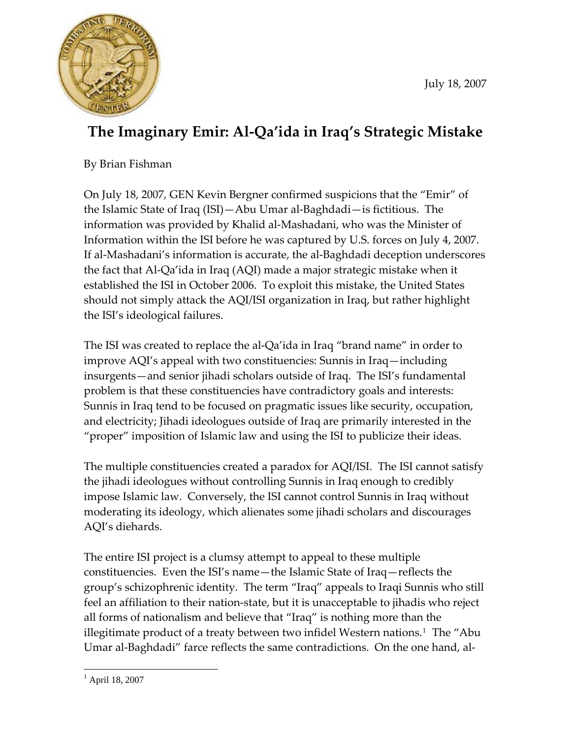

## **The Imaginary Emir: Al‐Qa'ida in Iraq's Strategic Mistake**

By Brian Fishman

On July 18, 2007, GEN Kevin Bergner confirmed suspicions that the "Emir" of the Islamic State of Iraq (ISI)—Abu Umar al‐Baghdadi—is fictitious. The information was provided by Khalid al‐Mashadani, who was the Minister of Information within the ISI before he was captured by U.S. forces on July 4, 2007. If al‐Mashadani's information is accurate, the al‐Baghdadi deception underscores the fact that Al‐Qa'ida in Iraq (AQI) made a major strategic mistake when it established the ISI in October 2006. To exploit this mistake, the United States should not simply attack the AQI/ISI organization in Iraq, but rather highlight the ISI's ideological failures.

The ISI was created to replace the al‐Qa'ida in Iraq "brand name" in order to improve AQI's appeal with two constituencies: Sunnis in Iraq—including insurgents—and senior jihadi scholars outside of Iraq. The ISI's fundamental problem is that these constituencies have contradictory goals and interests: Sunnis in Iraq tend to be focused on pragmatic issues like security, occupation, and electricity; Jihadi ideologues outside of Iraq are primarily interested in the "proper" imposition of Islamic law and using the ISI to publicize their ideas.

The multiple constituencies created a paradox for AQI/ISI. The ISI cannot satisfy the jihadi ideologues without controlling Sunnis in Iraq enough to credibly impose Islamic law. Conversely, the ISI cannot control Sunnis in Iraq without moderating its ideology, which alienates some jihadi scholars and discourages AQI's diehards.

The entire ISI project is a clumsy attempt to appeal to these multiple constituencies. Even the ISI's name—the Islamic State of Iraq—reflects the group's schizophrenic identity. The term "Iraq" appeals to Iraqi Sunnis who still feel an affiliation to their nation-state, but it is unacceptable to jihadis who reject all forms of nationalism and believe that "Iraq" is nothing more than the illegitimate product of a treaty between two infidel Western nations.<sup>[1](#page-0-0)</sup> The "Abu Umar al‐Baghdadi" farce reflects the same contradictions. On the one hand, al‐

<span id="page-0-0"></span><sup>1</sup> 1 April 18, 2007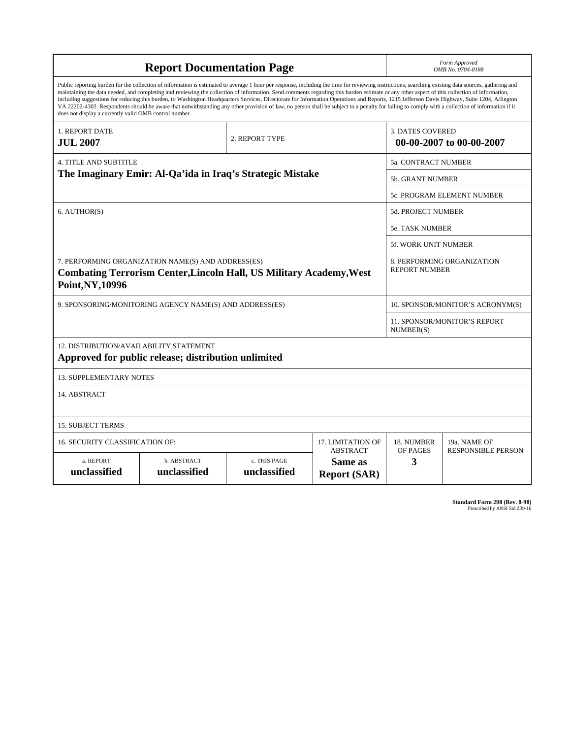| <b>Report Documentation Page</b>                                                                                                                                                                                                                                                                                                                                                                                                                                                                                                                                                                                                                                                                                                                                                                                                                                   |                             |                              |                                                   | Form Approved<br>OMB No. 0704-0188                  |                           |
|--------------------------------------------------------------------------------------------------------------------------------------------------------------------------------------------------------------------------------------------------------------------------------------------------------------------------------------------------------------------------------------------------------------------------------------------------------------------------------------------------------------------------------------------------------------------------------------------------------------------------------------------------------------------------------------------------------------------------------------------------------------------------------------------------------------------------------------------------------------------|-----------------------------|------------------------------|---------------------------------------------------|-----------------------------------------------------|---------------------------|
| Public reporting burden for the collection of information is estimated to average 1 hour per response, including the time for reviewing instructions, searching existing data sources, gathering and<br>maintaining the data needed, and completing and reviewing the collection of information. Send comments regarding this burden estimate or any other aspect of this collection of information,<br>including suggestions for reducing this burden, to Washington Headquarters Services, Directorate for Information Operations and Reports, 1215 Jefferson Davis Highway, Suite 1204, Arlington<br>VA 22202-4302. Respondents should be aware that notwithstanding any other provision of law, no person shall be subject to a penalty for failing to comply with a collection of information if it<br>does not display a currently valid OMB control number. |                             |                              |                                                   |                                                     |                           |
| 1. REPORT DATE<br><b>JUL 2007</b>                                                                                                                                                                                                                                                                                                                                                                                                                                                                                                                                                                                                                                                                                                                                                                                                                                  |                             | 2. REPORT TYPE               |                                                   | <b>3. DATES COVERED</b><br>00-00-2007 to 00-00-2007 |                           |
| 4. TITLE AND SUBTITLE                                                                                                                                                                                                                                                                                                                                                                                                                                                                                                                                                                                                                                                                                                                                                                                                                                              |                             |                              |                                                   | <b>5a. CONTRACT NUMBER</b>                          |                           |
| The Imaginary Emir: Al-Qa'ida in Iraq's Strategic Mistake                                                                                                                                                                                                                                                                                                                                                                                                                                                                                                                                                                                                                                                                                                                                                                                                          |                             |                              |                                                   | 5b. GRANT NUMBER                                    |                           |
|                                                                                                                                                                                                                                                                                                                                                                                                                                                                                                                                                                                                                                                                                                                                                                                                                                                                    |                             |                              |                                                   | 5c. PROGRAM ELEMENT NUMBER                          |                           |
| 6. AUTHOR(S)                                                                                                                                                                                                                                                                                                                                                                                                                                                                                                                                                                                                                                                                                                                                                                                                                                                       |                             |                              |                                                   | 5d. PROJECT NUMBER                                  |                           |
|                                                                                                                                                                                                                                                                                                                                                                                                                                                                                                                                                                                                                                                                                                                                                                                                                                                                    |                             |                              |                                                   | <b>5e. TASK NUMBER</b>                              |                           |
|                                                                                                                                                                                                                                                                                                                                                                                                                                                                                                                                                                                                                                                                                                                                                                                                                                                                    |                             |                              |                                                   | 5f. WORK UNIT NUMBER                                |                           |
| 7. PERFORMING ORGANIZATION NAME(S) AND ADDRESS(ES)<br><b>Combating Terrorism Center, Lincoln Hall, US Military Academy, West</b><br>Point, NY, 10996                                                                                                                                                                                                                                                                                                                                                                                                                                                                                                                                                                                                                                                                                                               |                             |                              |                                                   | 8. PERFORMING ORGANIZATION<br><b>REPORT NUMBER</b>  |                           |
| 9. SPONSORING/MONITORING AGENCY NAME(S) AND ADDRESS(ES)                                                                                                                                                                                                                                                                                                                                                                                                                                                                                                                                                                                                                                                                                                                                                                                                            |                             |                              |                                                   | 10. SPONSOR/MONITOR'S ACRONYM(S)                    |                           |
|                                                                                                                                                                                                                                                                                                                                                                                                                                                                                                                                                                                                                                                                                                                                                                                                                                                                    |                             |                              |                                                   | 11. SPONSOR/MONITOR'S REPORT<br>NUMBER(S)           |                           |
| 12. DISTRIBUTION/AVAILABILITY STATEMENT<br>Approved for public release; distribution unlimited                                                                                                                                                                                                                                                                                                                                                                                                                                                                                                                                                                                                                                                                                                                                                                     |                             |                              |                                                   |                                                     |                           |
| <b>13. SUPPLEMENTARY NOTES</b>                                                                                                                                                                                                                                                                                                                                                                                                                                                                                                                                                                                                                                                                                                                                                                                                                                     |                             |                              |                                                   |                                                     |                           |
| 14. ABSTRACT                                                                                                                                                                                                                                                                                                                                                                                                                                                                                                                                                                                                                                                                                                                                                                                                                                                       |                             |                              |                                                   |                                                     |                           |
| <b>15. SUBJECT TERMS</b>                                                                                                                                                                                                                                                                                                                                                                                                                                                                                                                                                                                                                                                                                                                                                                                                                                           |                             |                              |                                                   |                                                     |                           |
| 16. SECURITY CLASSIFICATION OF:                                                                                                                                                                                                                                                                                                                                                                                                                                                                                                                                                                                                                                                                                                                                                                                                                                    | 17. LIMITATION OF           | 18. NUMBER                   | 19a. NAME OF                                      |                                                     |                           |
| a. REPORT<br>unclassified                                                                                                                                                                                                                                                                                                                                                                                                                                                                                                                                                                                                                                                                                                                                                                                                                                          | b. ABSTRACT<br>unclassified | c. THIS PAGE<br>unclassified | <b>ABSTRACT</b><br>Same as<br><b>Report (SAR)</b> | OF PAGES<br>3                                       | <b>RESPONSIBLE PERSON</b> |

**Standard Form 298 (Rev. 8-98)**<br>Prescribed by ANSI Std Z39-18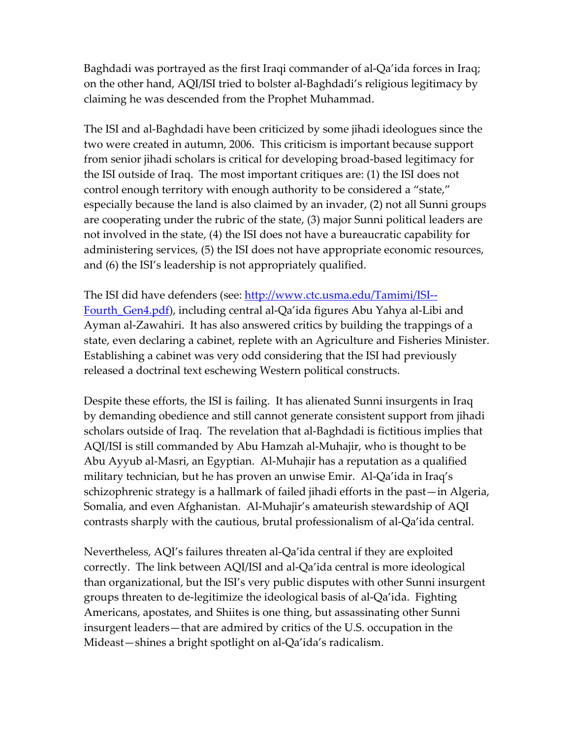Baghdadi was portrayed as the first Iraqi commander of al‐Qa'ida forces in Iraq; on the other hand, AQI/ISI tried to bolster al‐Baghdadi's religious legitimacy by claiming he was descended from the Prophet Muhammad.

The ISI and al‐Baghdadi have been criticized by some jihadi ideologues since the two were created in autumn, 2006. This criticism is important because support from senior jihadi scholars is critical for developing broad‐based legitimacy for the ISI outside of Iraq. The most important critiques are: (1) the ISI does not control enough territory with enough authority to be considered a "state," especially because the land is also claimed by an invader, (2) not all Sunni groups are cooperating under the rubric of the state, (3) major Sunni political leaders are not involved in the state, (4) the ISI does not have a bureaucratic capability for administering services, (5) the ISI does not have appropriate economic resources, and (6) the ISI's leadership is not appropriately qualified.

The ISI did have defenders (see: [http://www.ctc.usma.edu/Tamimi/ISI](http://www.ctc.usma.edu/Tamimi/ISI--Fourth_Gen4.pdf)‐‐ Fourth Gen4.pdf), including central al-Qa'ida figures Abu Yahya al-Libi and Ayman al‐Zawahiri. It has also answered critics by building the trappings of a state, even declaring a cabinet, replete with an Agriculture and Fisheries Minister. Establishing a cabinet was very odd considering that the ISI had previously released a doctrinal text eschewing Western political constructs.

Despite these efforts, the ISI is failing. It has alienated Sunni insurgents in Iraq by demanding obedience and still cannot generate consistent support from jihadi scholars outside of Iraq. The revelation that al‐Baghdadi is fictitious implies that AQI/ISI is still commanded by Abu Hamzah al‐Muhajir, who is thought to be Abu Ayyub al‐Masri, an Egyptian. Al‐Muhajir has a reputation as a qualified military technician, but he has proven an unwise Emir. Al‐Qa'ida in Iraq's schizophrenic strategy is a hallmark of failed jihadi efforts in the past—in Algeria, Somalia, and even Afghanistan. Al‐Muhajir's amateurish stewardship of AQI contrasts sharply with the cautious, brutal professionalism of al‐Qa'ida central.

Nevertheless, AQI's failures threaten al‐Qa'ida central if they are exploited correctly. The link between AQI/ISI and al‐Qa'ida central is more ideological than organizational, but the ISI's very public disputes with other Sunni insurgent groups threaten to de‐legitimize the ideological basis of al‐Qa'ida. Fighting Americans, apostates, and Shiites is one thing, but assassinating other Sunni insurgent leaders—that are admired by critics of the U.S. occupation in the Mideast—shines a bright spotlight on al‐Qa'ida's radicalism.